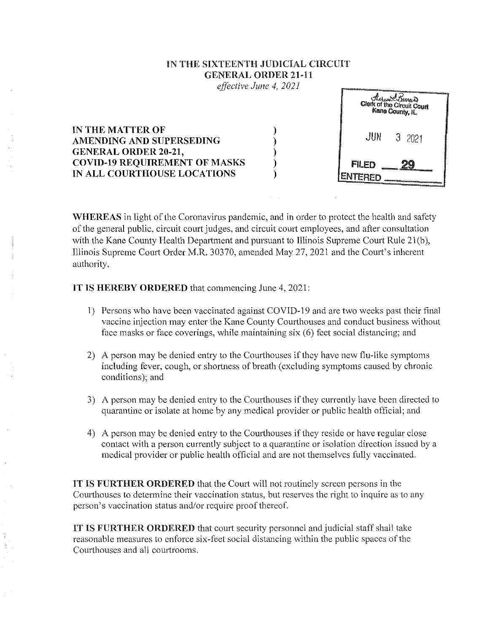## TN THE SIXTEENTH JUDICIAL CIRCUIT GENERAL ORDER 21-11

*effective June 4, 2021* 

|                                                                             | And in column 2 is a set of the Column 2 is a set of the column 2<br>There & Barrers<br>Clork of the Circuit Court<br>Kane County, IL                                                                                                                                                    |
|-----------------------------------------------------------------------------|------------------------------------------------------------------------------------------------------------------------------------------------------------------------------------------------------------------------------------------------------------------------------------------|
| IN THE MATTER OF<br>AMENDING AND SUPERSEDING<br><b>GENERAL ORDER 20-21,</b> | $JUN = 3,2021$                                                                                                                                                                                                                                                                           |
| <b>COVID-19 REQUIREMENT OF MASKS</b><br>IN ALL COURTHOUSE LOCATIONS         | FILED<br><b><i><u>AMERICAN CONTINUES</u></i></b><br><b>All and the construction of the construction of the construction of the construction of the construction of the construction of the construction of the construction of the construction of the construction of the construct</b> |

WHEREAS in light of the Coronavirus pandemic, and in order to protect the health and safety of the general public, circuit court judges, and circuit court employees, and after consultation with the Kane County Health Department and pursuant to Illinois Supreme Court Rule 21(b), Illinois Supreme Court Order M.R. 30370, amended May 27,2021 and the Court's inherent authority,

IT IS HEREBY ORDERED that commencing June 4, 2021:

- 1) Persons who have been vaccinated against COVID-19 and are two weeks past their final vaccine injection may enter the Kane County Courthouses and conduct business without face masks or face coverings, while maintaining six (6) feet social distancing; and
- 2) A person may be denied entry to the Courthouses if they have new flu-like symptoms including fever, cough, or shortness of breath (excluding symptoms caused by chronic conditions); and
- 3) A person may be denied entry to the Courthouses if they currently have been directed to quarantine or isolate at home by any medical provider or public health official; and
- 4) A person may be denied entry to the Courthouses if they reside or have regular close contact with a person currently subject to a quarantine or isolation direction issued by a medical provider or public health official and are not themselves fully vaccinated.

IT IS FURTHER ORDERED that the Court will not routinely screen persons in the Courthouses to determine their vaccination status, but reserves the right to inquire as to any person's vaccination status and/or require proof thereof.

IT IS FURTHER ORDERED that court security personnel and judicial staff shall take reasonable measures to enforce six-feet social distancing within the public spaces of the Courthouses and all courtrooms.